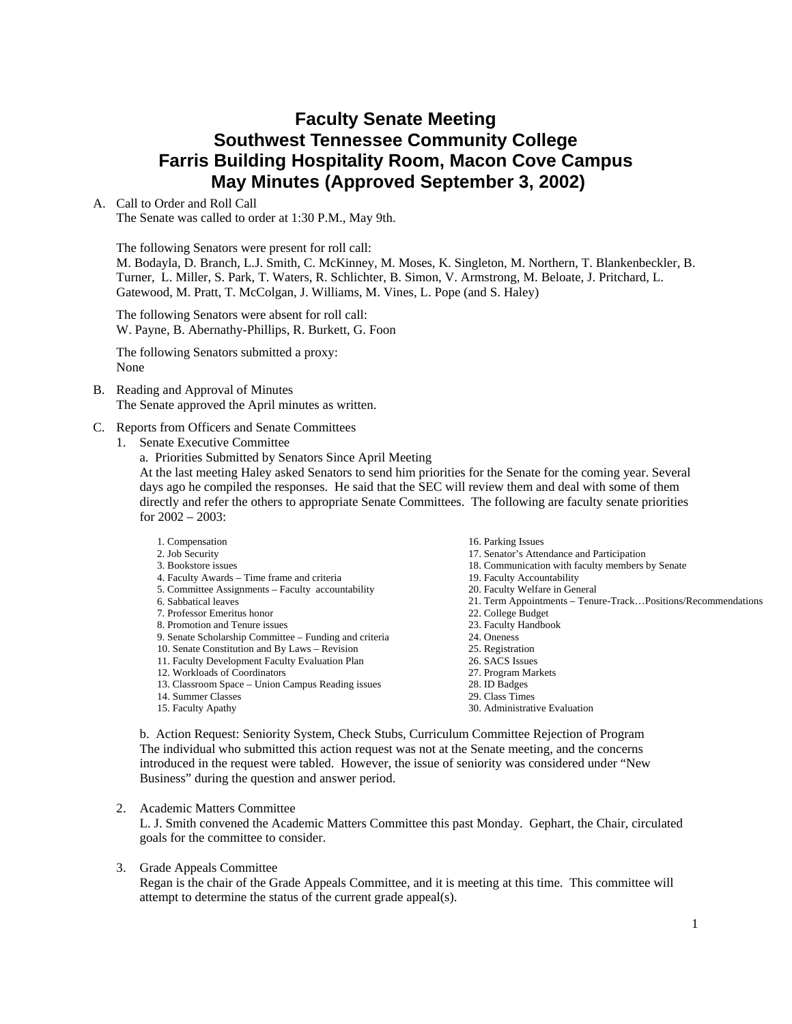# **Faculty Senate Meeting Southwest Tennessee Community College Farris Building Hospitality Room, Macon Cove Campus May Minutes (Approved September 3, 2002)**

#### A. Call to Order and Roll Call

The Senate was called to order at 1:30 P.M., May 9th.

The following Senators were present for roll call:

M. Bodayla, D. Branch, L.J. Smith, C. McKinney, M. Moses, K. Singleton, M. Northern, T. Blankenbeckler, B. Turner, L. Miller, S. Park, T. Waters, R. Schlichter, B. Simon, V. Armstrong, M. Beloate, J. Pritchard, L. Gatewood, M. Pratt, T. McColgan, J. Williams, M. Vines, L. Pope (and S. Haley)

The following Senators were absent for roll call: W. Payne, B. Abernathy-Phillips, R. Burkett, G. Foon

The following Senators submitted a proxy: None

- B. Reading and Approval of Minutes The Senate approved the April minutes as written.
- C. Reports from Officers and Senate Committees
	- 1. Senate Executive Committee
		- a. Priorities Submitted by Senators Since April Meeting

At the last meeting Haley asked Senators to send him priorities for the Senate for the coming year. Several days ago he compiled the responses. He said that the SEC will review them and deal with some of them directly and refer the others to appropriate Senate Committees. The following are faculty senate priorities for 2002 – 2003:

1. Compensation 2. Job Security 3. Bookstore issues 4. Faculty Awards – Time frame and criteria 5. Committee Assignments – Faculty accountability 6. Sabbatical leaves 7. Professor Emeritus honor 8. Promotion and Tenure issues 9. Senate Scholarship Committee – Funding and criteria 10. Senate Constitution and By Laws – Revision 11. Faculty Development Faculty Evaluation Plan 12. Workloads of Coordinators 13. Classroom Space – Union Campus Reading issues 14. Summer Classes 15. Faculty Apathy 16. Parking Issues 17. Senator's Attendance and Participation 18. Communication with faculty members by Senate 19. Faculty Accountability 20. Faculty Welfare in General 21. Term Appointments – Tenure-Track…Positions/Recommendations 22. College Budget 23. Faculty Handbook 24. Oneness 25. Registration 26. SACS Issues 27. Program Markets 28. ID Badges 29. Class Times 30. Administrative Evaluation

 b. Action Request: Seniority System, Check Stubs, Curriculum Committee Rejection of Program The individual who submitted this action request was not at the Senate meeting, and the concerns introduced in the request were tabled. However, the issue of seniority was considered under "New Business" during the question and answer period.

2. Academic Matters Committee

L. J. Smith convened the Academic Matters Committee this past Monday. Gephart, the Chair, circulated goals for the committee to consider.

3. Grade Appeals Committee

Regan is the chair of the Grade Appeals Committee, and it is meeting at this time. This committee will attempt to determine the status of the current grade appeal(s).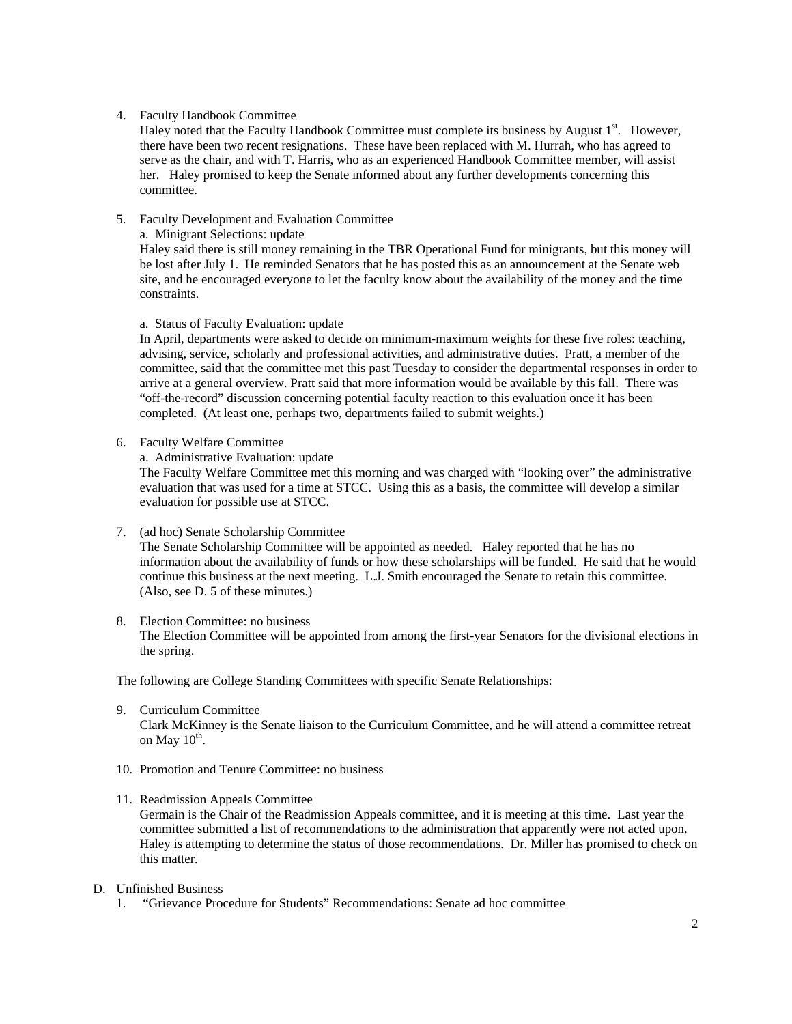#### 4. Faculty Handbook Committee

Haley noted that the Faculty Handbook Committee must complete its business by August  $1<sup>st</sup>$ . However, there have been two recent resignations. These have been replaced with M. Hurrah, who has agreed to serve as the chair, and with T. Harris, who as an experienced Handbook Committee member, will assist her. Haley promised to keep the Senate informed about any further developments concerning this committee.

5. Faculty Development and Evaluation Committee

a. Minigrant Selections: update

Haley said there is still money remaining in the TBR Operational Fund for minigrants, but this money will be lost after July 1. He reminded Senators that he has posted this as an announcement at the Senate web site, and he encouraged everyone to let the faculty know about the availability of the money and the time constraints.

#### a. Status of Faculty Evaluation: update

In April, departments were asked to decide on minimum-maximum weights for these five roles: teaching, advising, service, scholarly and professional activities, and administrative duties. Pratt, a member of the committee, said that the committee met this past Tuesday to consider the departmental responses in order to arrive at a general overview. Pratt said that more information would be available by this fall. There was "off-the-record" discussion concerning potential faculty reaction to this evaluation once it has been completed. (At least one, perhaps two, departments failed to submit weights.)

6. Faculty Welfare Committee

a. Administrative Evaluation: update

The Faculty Welfare Committee met this morning and was charged with "looking over" the administrative evaluation that was used for a time at STCC. Using this as a basis, the committee will develop a similar evaluation for possible use at STCC.

7. (ad hoc) Senate Scholarship Committee

The Senate Scholarship Committee will be appointed as needed. Haley reported that he has no information about the availability of funds or how these scholarships will be funded. He said that he would continue this business at the next meeting. L.J. Smith encouraged the Senate to retain this committee. (Also, see D. 5 of these minutes.)

8. Election Committee: no business The Election Committee will be appointed from among the first-year Senators for the divisional elections in the spring.

The following are College Standing Committees with specific Senate Relationships:

- 9. Curriculum Committee Clark McKinney is the Senate liaison to the Curriculum Committee, and he will attend a committee retreat on May  $10^{\text{th}}$ .
- 10. Promotion and Tenure Committee: no business
- 11. Readmission Appeals Committee

Germain is the Chair of the Readmission Appeals committee, and it is meeting at this time. Last year the committee submitted a list of recommendations to the administration that apparently were not acted upon. Haley is attempting to determine the status of those recommendations. Dr. Miller has promised to check on this matter.

#### D. Unfinished Business

1. "Grievance Procedure for Students" Recommendations: Senate ad hoc committee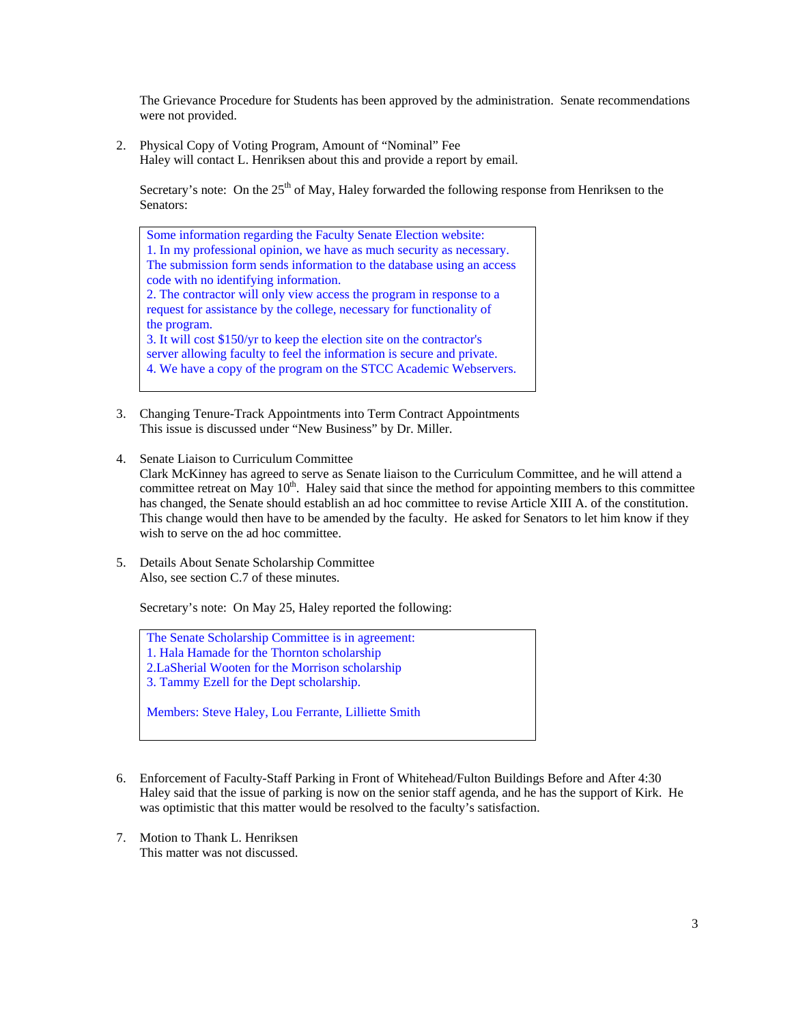The Grievance Procedure for Students has been approved by the administration. Senate recommendations were not provided.

2. Physical Copy of Voting Program, Amount of "Nominal" Fee Haley will contact L. Henriksen about this and provide a report by email.

Secretary's note: On the  $25<sup>th</sup>$  of May, Haley forwarded the following response from Henriksen to the Senators:

Some information regarding the Faculty Senate Election website: 1. In my professional opinion, we have as much security as necessary. The submission form sends information to the database using an access code with no identifying information. 2. The contractor will only view access the program in response to a request for assistance by the college, necessary for functionality of the program. 3. It will cost \$150/yr to keep the election site on the contractor's server allowing faculty to feel the information is secure and private. 4. We have a copy of the program on the STCC Academic Webservers.

- 3. Changing Tenure-Track Appointments into Term Contract Appointments This issue is discussed under "New Business" by Dr. Miller.
- 4. Senate Liaison to Curriculum Committee

Clark McKinney has agreed to serve as Senate liaison to the Curriculum Committee, and he will attend a committee retreat on May  $10<sup>th</sup>$ . Haley said that since the method for appointing members to this committee has changed, the Senate should establish an ad hoc committee to revise Article XIII A. of the constitution. This change would then have to be amended by the faculty. He asked for Senators to let him know if they wish to serve on the ad hoc committee.

5. Details About Senate Scholarship Committee Also, see section C.7 of these minutes.

Secretary's note: On May 25, Haley reported the following:

The Senate Scholarship Committee is in agreement: 1. Hala Hamade for the Thornton scholarship 2.LaSherial Wooten for the Morrison scholarship 3. Tammy Ezell for the Dept scholarship.

Members: Steve Haley, Lou Ferrante, Lilliette Smith

- 6. Enforcement of Faculty-Staff Parking in Front of Whitehead/Fulton Buildings Before and After 4:30 Haley said that the issue of parking is now on the senior staff agenda, and he has the support of Kirk. He was optimistic that this matter would be resolved to the faculty's satisfaction.
- 7. Motion to Thank L. Henriksen This matter was not discussed.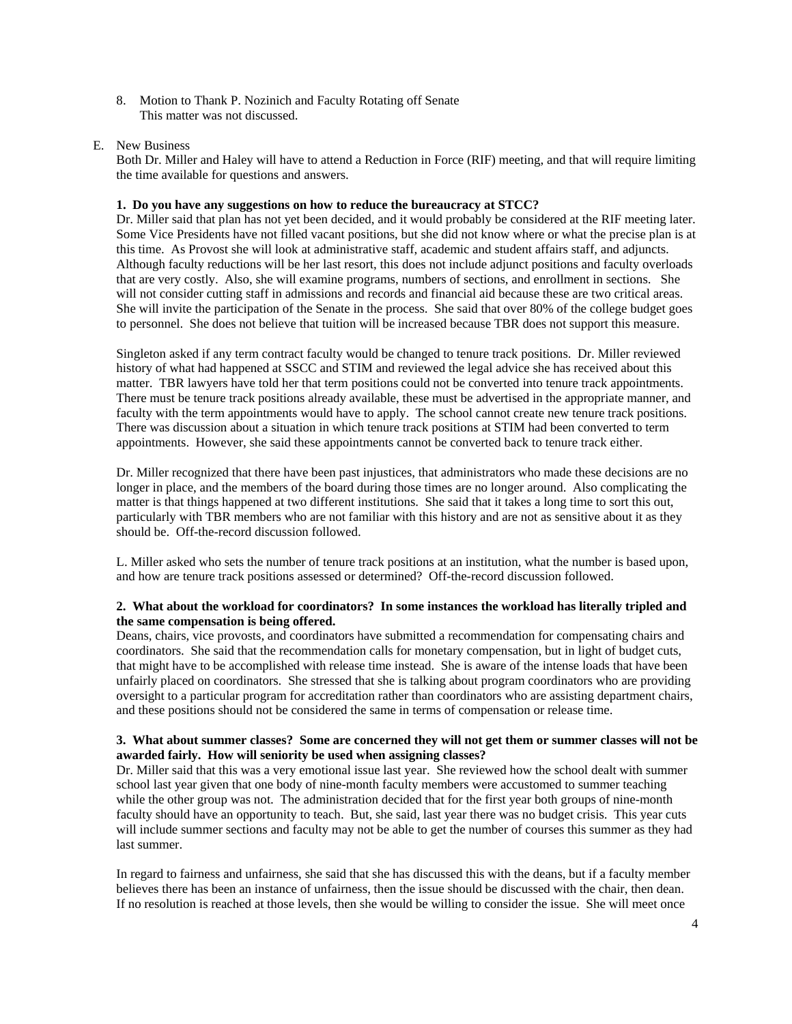8. Motion to Thank P. Nozinich and Faculty Rotating off Senate This matter was not discussed.

#### E. New Business

Both Dr. Miller and Haley will have to attend a Reduction in Force (RIF) meeting, and that will require limiting the time available for questions and answers.

#### **1. Do you have any suggestions on how to reduce the bureaucracy at STCC?**

Dr. Miller said that plan has not yet been decided, and it would probably be considered at the RIF meeting later. Some Vice Presidents have not filled vacant positions, but she did not know where or what the precise plan is at this time. As Provost she will look at administrative staff, academic and student affairs staff, and adjuncts. Although faculty reductions will be her last resort, this does not include adjunct positions and faculty overloads that are very costly. Also, she will examine programs, numbers of sections, and enrollment in sections. She will not consider cutting staff in admissions and records and financial aid because these are two critical areas. She will invite the participation of the Senate in the process. She said that over 80% of the college budget goes to personnel. She does not believe that tuition will be increased because TBR does not support this measure.

Singleton asked if any term contract faculty would be changed to tenure track positions. Dr. Miller reviewed history of what had happened at SSCC and STIM and reviewed the legal advice she has received about this matter. TBR lawyers have told her that term positions could not be converted into tenure track appointments. There must be tenure track positions already available, these must be advertised in the appropriate manner, and faculty with the term appointments would have to apply. The school cannot create new tenure track positions. There was discussion about a situation in which tenure track positions at STIM had been converted to term appointments. However, she said these appointments cannot be converted back to tenure track either.

Dr. Miller recognized that there have been past injustices, that administrators who made these decisions are no longer in place, and the members of the board during those times are no longer around. Also complicating the matter is that things happened at two different institutions. She said that it takes a long time to sort this out, particularly with TBR members who are not familiar with this history and are not as sensitive about it as they should be. Off-the-record discussion followed.

L. Miller asked who sets the number of tenure track positions at an institution, what the number is based upon, and how are tenure track positions assessed or determined? Off-the-record discussion followed.

#### **2. What about the workload for coordinators? In some instances the workload has literally tripled and the same compensation is being offered.**

Deans, chairs, vice provosts, and coordinators have submitted a recommendation for compensating chairs and coordinators. She said that the recommendation calls for monetary compensation, but in light of budget cuts, that might have to be accomplished with release time instead. She is aware of the intense loads that have been unfairly placed on coordinators. She stressed that she is talking about program coordinators who are providing oversight to a particular program for accreditation rather than coordinators who are assisting department chairs, and these positions should not be considered the same in terms of compensation or release time.

#### **3. What about summer classes? Some are concerned they will not get them or summer classes will not be awarded fairly. How will seniority be used when assigning classes?**

Dr. Miller said that this was a very emotional issue last year. She reviewed how the school dealt with summer school last year given that one body of nine-month faculty members were accustomed to summer teaching while the other group was not. The administration decided that for the first year both groups of nine-month faculty should have an opportunity to teach. But, she said, last year there was no budget crisis. This year cuts will include summer sections and faculty may not be able to get the number of courses this summer as they had last summer.

In regard to fairness and unfairness, she said that she has discussed this with the deans, but if a faculty member believes there has been an instance of unfairness, then the issue should be discussed with the chair, then dean. If no resolution is reached at those levels, then she would be willing to consider the issue. She will meet once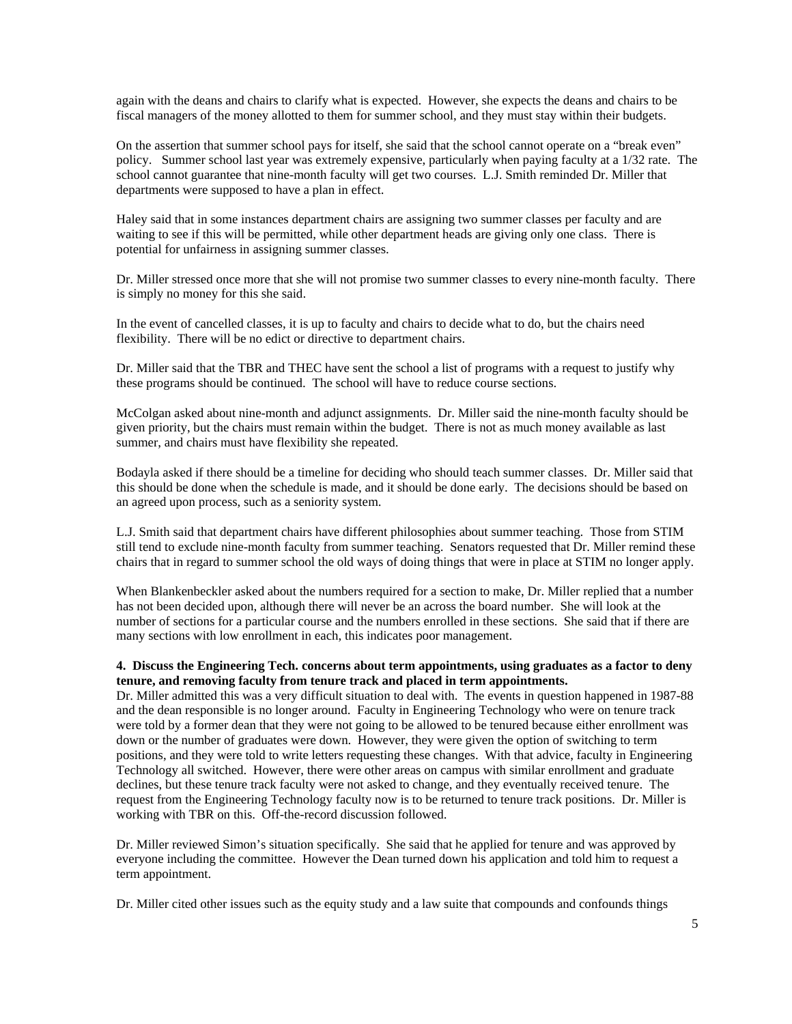again with the deans and chairs to clarify what is expected. However, she expects the deans and chairs to be fiscal managers of the money allotted to them for summer school, and they must stay within their budgets.

On the assertion that summer school pays for itself, she said that the school cannot operate on a "break even" policy. Summer school last year was extremely expensive, particularly when paying faculty at a 1/32 rate. The school cannot guarantee that nine-month faculty will get two courses. L.J. Smith reminded Dr. Miller that departments were supposed to have a plan in effect.

Haley said that in some instances department chairs are assigning two summer classes per faculty and are waiting to see if this will be permitted, while other department heads are giving only one class. There is potential for unfairness in assigning summer classes.

Dr. Miller stressed once more that she will not promise two summer classes to every nine-month faculty. There is simply no money for this she said.

In the event of cancelled classes, it is up to faculty and chairs to decide what to do, but the chairs need flexibility. There will be no edict or directive to department chairs.

Dr. Miller said that the TBR and THEC have sent the school a list of programs with a request to justify why these programs should be continued. The school will have to reduce course sections.

McColgan asked about nine-month and adjunct assignments. Dr. Miller said the nine-month faculty should be given priority, but the chairs must remain within the budget. There is not as much money available as last summer, and chairs must have flexibility she repeated.

Bodayla asked if there should be a timeline for deciding who should teach summer classes. Dr. Miller said that this should be done when the schedule is made, and it should be done early. The decisions should be based on an agreed upon process, such as a seniority system.

L.J. Smith said that department chairs have different philosophies about summer teaching. Those from STIM still tend to exclude nine-month faculty from summer teaching. Senators requested that Dr. Miller remind these chairs that in regard to summer school the old ways of doing things that were in place at STIM no longer apply.

When Blankenbeckler asked about the numbers required for a section to make, Dr. Miller replied that a number has not been decided upon, although there will never be an across the board number. She will look at the number of sections for a particular course and the numbers enrolled in these sections. She said that if there are many sections with low enrollment in each, this indicates poor management.

#### **4. Discuss the Engineering Tech. concerns about term appointments, using graduates as a factor to deny tenure, and removing faculty from tenure track and placed in term appointments.**

Dr. Miller admitted this was a very difficult situation to deal with. The events in question happened in 1987-88 and the dean responsible is no longer around. Faculty in Engineering Technology who were on tenure track were told by a former dean that they were not going to be allowed to be tenured because either enrollment was down or the number of graduates were down. However, they were given the option of switching to term positions, and they were told to write letters requesting these changes. With that advice, faculty in Engineering Technology all switched. However, there were other areas on campus with similar enrollment and graduate declines, but these tenure track faculty were not asked to change, and they eventually received tenure. The request from the Engineering Technology faculty now is to be returned to tenure track positions. Dr. Miller is working with TBR on this. Off-the-record discussion followed.

Dr. Miller reviewed Simon's situation specifically. She said that he applied for tenure and was approved by everyone including the committee. However the Dean turned down his application and told him to request a term appointment.

Dr. Miller cited other issues such as the equity study and a law suite that compounds and confounds things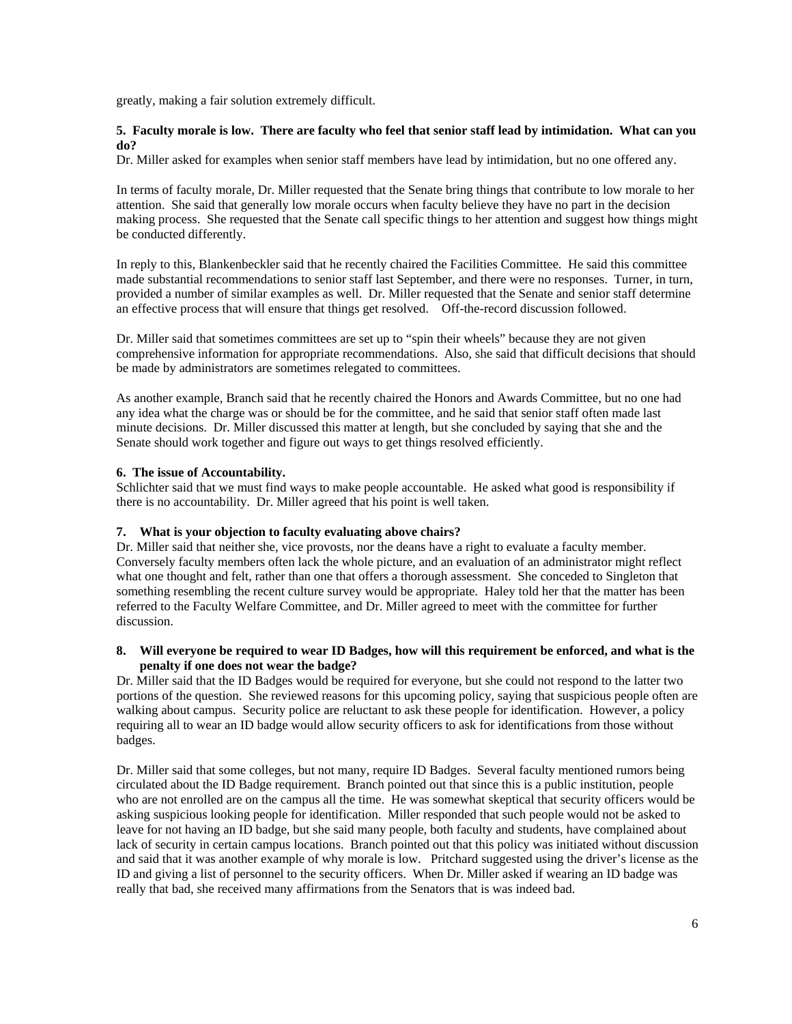greatly, making a fair solution extremely difficult.

#### **5. Faculty morale is low. There are faculty who feel that senior staff lead by intimidation. What can you do?**

Dr. Miller asked for examples when senior staff members have lead by intimidation, but no one offered any.

In terms of faculty morale, Dr. Miller requested that the Senate bring things that contribute to low morale to her attention. She said that generally low morale occurs when faculty believe they have no part in the decision making process. She requested that the Senate call specific things to her attention and suggest how things might be conducted differently.

In reply to this, Blankenbeckler said that he recently chaired the Facilities Committee. He said this committee made substantial recommendations to senior staff last September, and there were no responses. Turner, in turn, provided a number of similar examples as well. Dr. Miller requested that the Senate and senior staff determine an effective process that will ensure that things get resolved. Off-the-record discussion followed.

Dr. Miller said that sometimes committees are set up to "spin their wheels" because they are not given comprehensive information for appropriate recommendations. Also, she said that difficult decisions that should be made by administrators are sometimes relegated to committees.

As another example, Branch said that he recently chaired the Honors and Awards Committee, but no one had any idea what the charge was or should be for the committee, and he said that senior staff often made last minute decisions. Dr. Miller discussed this matter at length, but she concluded by saying that she and the Senate should work together and figure out ways to get things resolved efficiently.

#### **6. The issue of Accountability.**

Schlichter said that we must find ways to make people accountable. He asked what good is responsibility if there is no accountability. Dr. Miller agreed that his point is well taken.

#### **7. What is your objection to faculty evaluating above chairs?**

Dr. Miller said that neither she, vice provosts, nor the deans have a right to evaluate a faculty member. Conversely faculty members often lack the whole picture, and an evaluation of an administrator might reflect what one thought and felt, rather than one that offers a thorough assessment. She conceded to Singleton that something resembling the recent culture survey would be appropriate. Haley told her that the matter has been referred to the Faculty Welfare Committee, and Dr. Miller agreed to meet with the committee for further discussion.

#### **8. Will everyone be required to wear ID Badges, how will this requirement be enforced, and what is the penalty if one does not wear the badge?**

Dr. Miller said that the ID Badges would be required for everyone, but she could not respond to the latter two portions of the question. She reviewed reasons for this upcoming policy, saying that suspicious people often are walking about campus. Security police are reluctant to ask these people for identification. However, a policy requiring all to wear an ID badge would allow security officers to ask for identifications from those without badges.

Dr. Miller said that some colleges, but not many, require ID Badges. Several faculty mentioned rumors being circulated about the ID Badge requirement. Branch pointed out that since this is a public institution, people who are not enrolled are on the campus all the time. He was somewhat skeptical that security officers would be asking suspicious looking people for identification. Miller responded that such people would not be asked to leave for not having an ID badge, but she said many people, both faculty and students, have complained about lack of security in certain campus locations. Branch pointed out that this policy was initiated without discussion and said that it was another example of why morale is low. Pritchard suggested using the driver's license as the ID and giving a list of personnel to the security officers. When Dr. Miller asked if wearing an ID badge was really that bad, she received many affirmations from the Senators that is was indeed bad.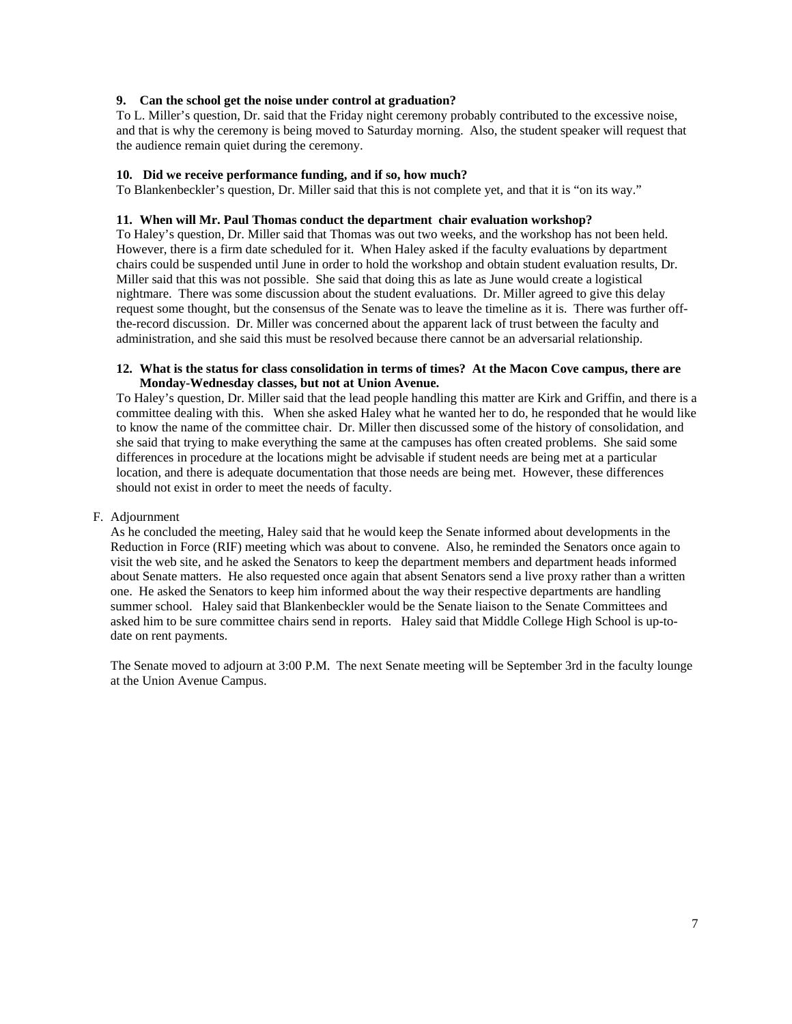#### **9. Can the school get the noise under control at graduation?**

To L. Miller's question, Dr. said that the Friday night ceremony probably contributed to the excessive noise, and that is why the ceremony is being moved to Saturday morning. Also, the student speaker will request that the audience remain quiet during the ceremony.

#### **10. Did we receive performance funding, and if so, how much?**

To Blankenbeckler's question, Dr. Miller said that this is not complete yet, and that it is "on its way."

#### **11. When will Mr. Paul Thomas conduct the department chair evaluation workshop?**

To Haley's question, Dr. Miller said that Thomas was out two weeks, and the workshop has not been held. However, there is a firm date scheduled for it. When Haley asked if the faculty evaluations by department chairs could be suspended until June in order to hold the workshop and obtain student evaluation results, Dr. Miller said that this was not possible. She said that doing this as late as June would create a logistical nightmare. There was some discussion about the student evaluations. Dr. Miller agreed to give this delay request some thought, but the consensus of the Senate was to leave the timeline as it is. There was further offthe-record discussion. Dr. Miller was concerned about the apparent lack of trust between the faculty and administration, and she said this must be resolved because there cannot be an adversarial relationship.

#### **12. What is the status for class consolidation in terms of times? At the Macon Cove campus, there are Monday-Wednesday classes, but not at Union Avenue.**

To Haley's question, Dr. Miller said that the lead people handling this matter are Kirk and Griffin, and there is a committee dealing with this. When she asked Haley what he wanted her to do, he responded that he would like to know the name of the committee chair. Dr. Miller then discussed some of the history of consolidation, and she said that trying to make everything the same at the campuses has often created problems. She said some differences in procedure at the locations might be advisable if student needs are being met at a particular location, and there is adequate documentation that those needs are being met. However, these differences should not exist in order to meet the needs of faculty.

#### F. Adjournment

As he concluded the meeting, Haley said that he would keep the Senate informed about developments in the Reduction in Force (RIF) meeting which was about to convene. Also, he reminded the Senators once again to visit the web site, and he asked the Senators to keep the department members and department heads informed about Senate matters. He also requested once again that absent Senators send a live proxy rather than a written one. He asked the Senators to keep him informed about the way their respective departments are handling summer school. Haley said that Blankenbeckler would be the Senate liaison to the Senate Committees and asked him to be sure committee chairs send in reports. Haley said that Middle College High School is up-todate on rent payments.

The Senate moved to adjourn at 3:00 P.M. The next Senate meeting will be September 3rd in the faculty lounge at the Union Avenue Campus.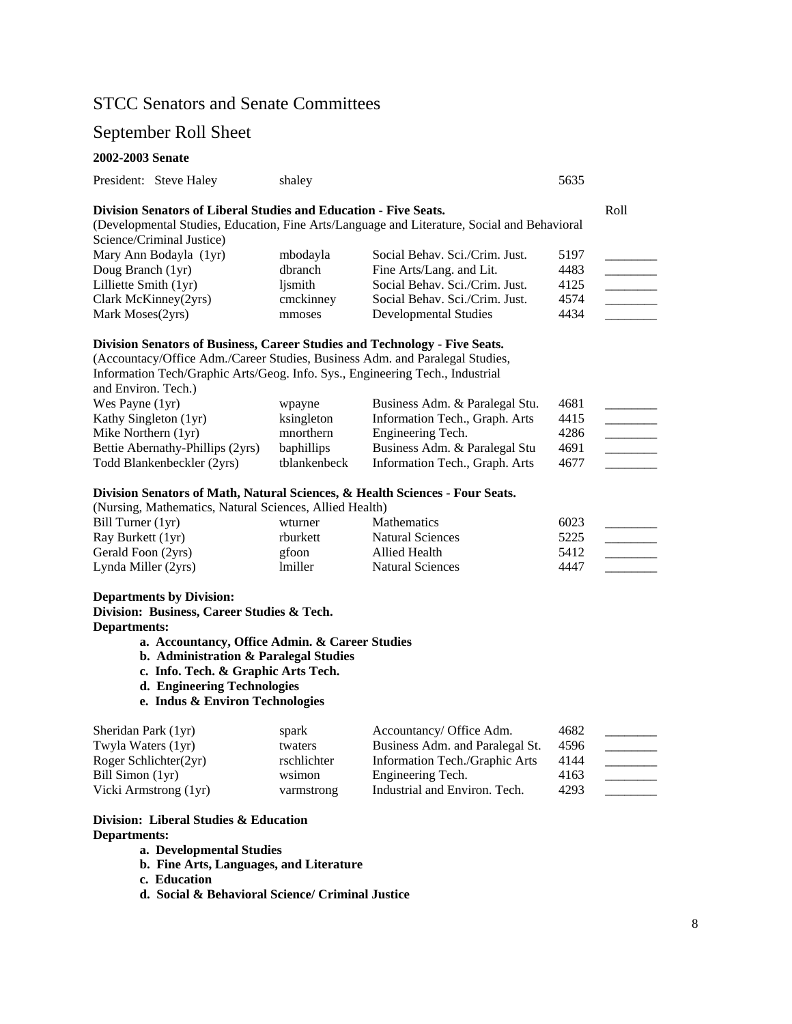# STCC Senators and Senate Committees

# September Roll Sheet

| <b>2002-2003 Senate</b>                                                                                                                                                                                                                                            |              |                                                                                             |      |                          |
|--------------------------------------------------------------------------------------------------------------------------------------------------------------------------------------------------------------------------------------------------------------------|--------------|---------------------------------------------------------------------------------------------|------|--------------------------|
| President: Steve Haley                                                                                                                                                                                                                                             | shaley       |                                                                                             | 5635 |                          |
| Division Senators of Liberal Studies and Education - Five Seats.                                                                                                                                                                                                   |              |                                                                                             |      | Roll                     |
|                                                                                                                                                                                                                                                                    |              | (Developmental Studies, Education, Fine Arts/Language and Literature, Social and Behavioral |      |                          |
| Science/Criminal Justice)                                                                                                                                                                                                                                          |              |                                                                                             |      |                          |
| Mary Ann Bodayla (1yr)                                                                                                                                                                                                                                             | mbodayla     | Social Behav. Sci./Crim. Just.                                                              | 5197 |                          |
| Doug Branch (1yr)                                                                                                                                                                                                                                                  | dbranch      | Fine Arts/Lang. and Lit.                                                                    | 4483 |                          |
| Lilliette Smith (1yr)                                                                                                                                                                                                                                              | ljsmith      | Social Behav. Sci./Crim. Just.                                                              | 4125 |                          |
| Clark McKinney(2yrs)                                                                                                                                                                                                                                               | cmckinney    | Social Behav. Sci./Crim. Just.                                                              | 4574 | <b>Contract Contract</b> |
| Mark Moses(2yrs)                                                                                                                                                                                                                                                   | mmoses       | <b>Developmental Studies</b>                                                                | 4434 |                          |
| Division Senators of Business, Career Studies and Technology - Five Seats.<br>(Accountacy/Office Adm./Career Studies, Business Adm. and Paralegal Studies,<br>Information Tech/Graphic Arts/Geog. Info. Sys., Engineering Tech., Industrial<br>and Environ. Tech.) |              |                                                                                             |      |                          |
| Wes Payne (1yr)                                                                                                                                                                                                                                                    | wpayne       | Business Adm. & Paralegal Stu.                                                              | 4681 |                          |
| Kathy Singleton (1yr)                                                                                                                                                                                                                                              | ksingleton   | Information Tech., Graph. Arts                                                              | 4415 |                          |
| Mike Northern (1yr)                                                                                                                                                                                                                                                | mnorthern    | Engineering Tech.                                                                           | 4286 |                          |
| Bettie Abernathy-Phillips (2yrs)                                                                                                                                                                                                                                   | baphillips   | Business Adm. & Paralegal Stu                                                               | 4691 |                          |
| Todd Blankenbeckler (2yrs)                                                                                                                                                                                                                                         | tblankenbeck | Information Tech., Graph. Arts                                                              | 4677 |                          |
| Division Senators of Math, Natural Sciences, & Health Sciences - Four Seats.<br>(Nursing, Mathematics, Natural Sciences, Allied Health)                                                                                                                            |              |                                                                                             |      |                          |
| Bill Turner (1yr)                                                                                                                                                                                                                                                  | wturner      | <b>Mathematics</b>                                                                          | 6023 |                          |
| Ray Burkett (1yr)                                                                                                                                                                                                                                                  | rburkett     | <b>Natural Sciences</b>                                                                     | 5225 |                          |
| Gerald Foon (2yrs)                                                                                                                                                                                                                                                 | gfoon        | <b>Allied Health</b>                                                                        | 5412 |                          |
| Lynda Miller (2yrs)                                                                                                                                                                                                                                                | lmiller      | <b>Natural Sciences</b>                                                                     | 4447 |                          |
| <b>Departments by Division:</b><br>Division: Business, Career Studies & Tech.<br><b>Departments:</b><br>a. Accountancy, Office Admin. & Career Studies                                                                                                             |              |                                                                                             |      |                          |

| $DIII$ Tuttlet $(1)$ | wuunci         | <i>IVIAUICHIAUUS</i>    | UU4J |  |
|----------------------|----------------|-------------------------|------|--|
| Ray Burkett (1yr)    | rburkett       | Natural Sciences        | 5225 |  |
| Gerald Foon (2yrs)   | gfoon          | Allied Health           | 5412 |  |
| Lynda Miller (2yrs)  | <i>lmiller</i> | <b>Natural Sciences</b> | 4447 |  |

- **b. Administration & Paralegal Studies**
- **c. Info. Tech. & Graphic Arts Tech.**
- **d. Engineering Technologies**
- **e. Indus & Environ Technologies**

| Sheridan Park (1yr)<br>Twyla Waters (1yr)   | spark<br>twaters<br>rschlichter | Accountancy/ Office Adm.<br>Business Adm. and Paralegal St. | 4682<br>4596<br>4144 |  |
|---------------------------------------------|---------------------------------|-------------------------------------------------------------|----------------------|--|
| Roger Schlichter(2yr)<br>Bill Simon $(1yr)$ | wsimon                          | Information Tech./Graphic Arts<br>Engineering Tech.         | 4163                 |  |
| Vicki Armstrong (1yr)                       | varmstrong                      | Industrial and Environ. Tech.                               | 4293                 |  |

## **Division: Liberal Studies & Education Departments:**

**a. Developmental Studies** 

- **b. Fine Arts, Languages, and Literature**
- **c. Education**
- **d. Social & Behavioral Science/ Criminal Justice**